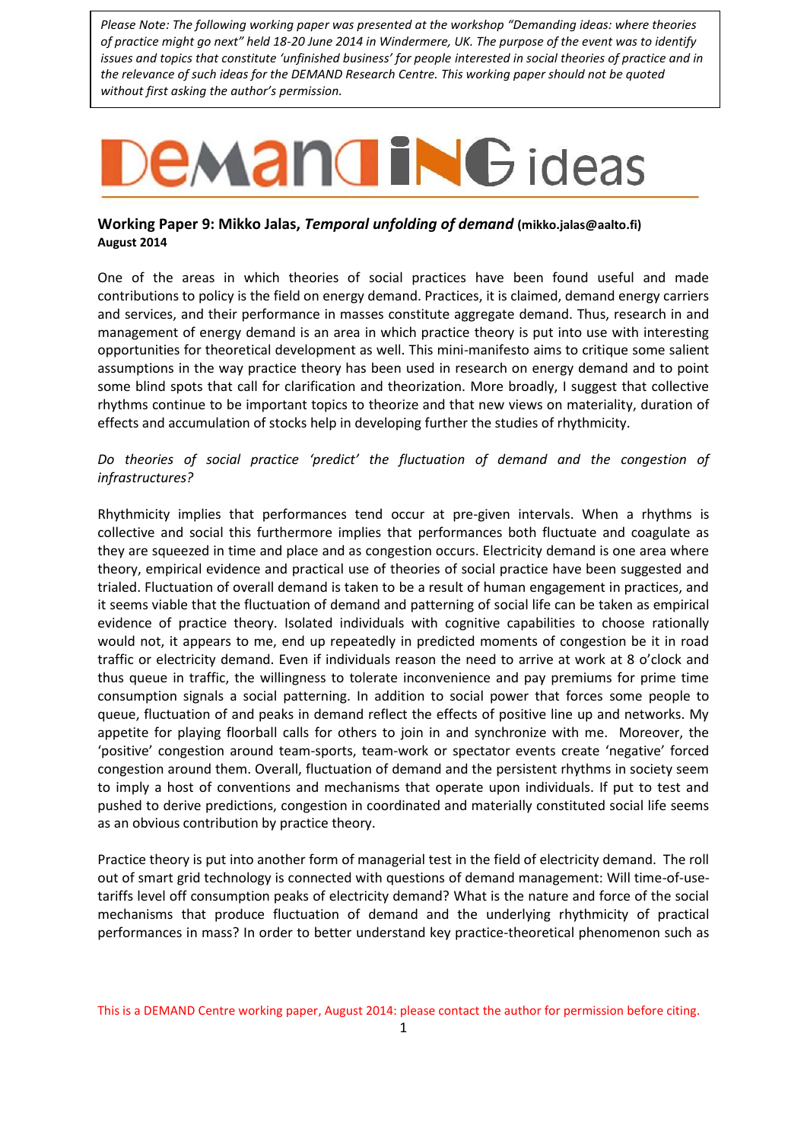*Please Note: The following working paper was presented at the workshop "Demanding ideas: where theories of practice might go next" held 18-20 June 2014 in Windermere, UK. The purpose of the event was to identify issues and topics that constitute 'unfinished business' for people interested in social theories of practice and in the relevance of such ideas for the DEMAND Research Centre. This working paper should not be quoted without first asking the author's permission.*

# **EMANGING** ideas

## **Working Paper 9: Mikko Jalas,** *Temporal unfolding of demand* **(mikko.jalas@aalto.fi) August 2014**

One of the areas in which theories of social practices have been found useful and made contributions to policy is the field on energy demand. Practices, it is claimed, demand energy carriers and services, and their performance in masses constitute aggregate demand. Thus, research in and management of energy demand is an area in which practice theory is put into use with interesting opportunities for theoretical development as well. This mini-manifesto aims to critique some salient assumptions in the way practice theory has been used in research on energy demand and to point some blind spots that call for clarification and theorization. More broadly, I suggest that collective rhythms continue to be important topics to theorize and that new views on materiality, duration of effects and accumulation of stocks help in developing further the studies of rhythmicity.

# Do theories of social practice 'predict' the fluctuation of demand and the congestion of *infrastructures?*

Rhythmicity implies that performances tend occur at pre-given intervals. When a rhythms is collective and social this furthermore implies that performances both fluctuate and coagulate as they are squeezed in time and place and as congestion occurs. Electricity demand is one area where theory, empirical evidence and practical use of theories of social practice have been suggested and trialed. Fluctuation of overall demand is taken to be a result of human engagement in practices, and it seems viable that the fluctuation of demand and patterning of social life can be taken as empirical evidence of practice theory. Isolated individuals with cognitive capabilities to choose rationally would not, it appears to me, end up repeatedly in predicted moments of congestion be it in road traffic or electricity demand. Even if individuals reason the need to arrive at work at 8 o'clock and thus queue in traffic, the willingness to tolerate inconvenience and pay premiums for prime time consumption signals a social patterning. In addition to social power that forces some people to queue, fluctuation of and peaks in demand reflect the effects of positive line up and networks. My appetite for playing floorball calls for others to join in and synchronize with me. Moreover, the 'positive' congestion around team-sports, team-work or spectator events create 'negative' forced congestion around them. Overall, fluctuation of demand and the persistent rhythms in society seem to imply a host of conventions and mechanisms that operate upon individuals. If put to test and pushed to derive predictions, congestion in coordinated and materially constituted social life seems as an obvious contribution by practice theory.

Practice theory is put into another form of managerial test in the field of electricity demand. The roll out of smart grid technology is connected with questions of demand management: Will time-of-usetariffs level off consumption peaks of electricity demand? What is the nature and force of the social mechanisms that produce fluctuation of demand and the underlying rhythmicity of practical performances in mass? In order to better understand key practice-theoretical phenomenon such as

This is a DEMAND Centre working paper, August 2014: please contact the author for permission before citing.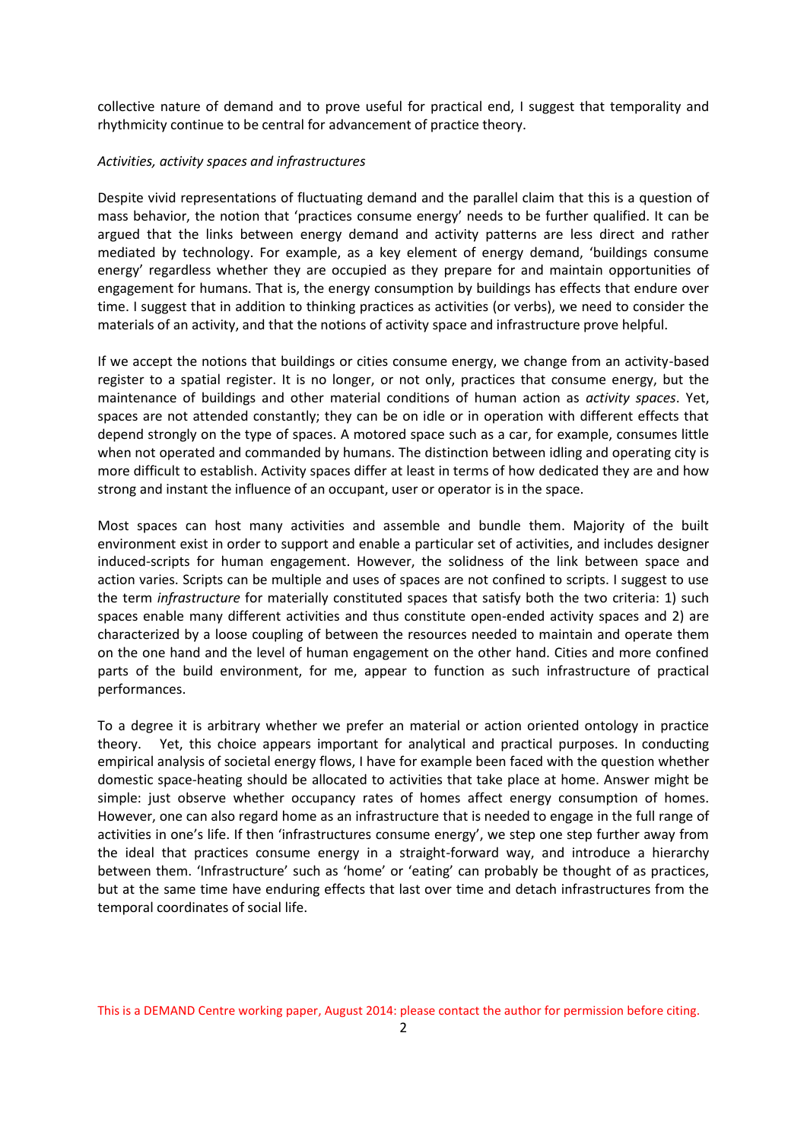collective nature of demand and to prove useful for practical end, I suggest that temporality and rhythmicity continue to be central for advancement of practice theory.

#### *Activities, activity spaces and infrastructures*

Despite vivid representations of fluctuating demand and the parallel claim that this is a question of mass behavior, the notion that 'practices consume energy' needs to be further qualified. It can be argued that the links between energy demand and activity patterns are less direct and rather mediated by technology. For example, as a key element of energy demand, 'buildings consume energy' regardless whether they are occupied as they prepare for and maintain opportunities of engagement for humans. That is, the energy consumption by buildings has effects that endure over time. I suggest that in addition to thinking practices as activities (or verbs), we need to consider the materials of an activity, and that the notions of activity space and infrastructure prove helpful.

If we accept the notions that buildings or cities consume energy, we change from an activity-based register to a spatial register. It is no longer, or not only, practices that consume energy, but the maintenance of buildings and other material conditions of human action as *activity spaces*. Yet, spaces are not attended constantly; they can be on idle or in operation with different effects that depend strongly on the type of spaces. A motored space such as a car, for example, consumes little when not operated and commanded by humans. The distinction between idling and operating city is more difficult to establish. Activity spaces differ at least in terms of how dedicated they are and how strong and instant the influence of an occupant, user or operator is in the space.

Most spaces can host many activities and assemble and bundle them. Majority of the built environment exist in order to support and enable a particular set of activities, and includes designer induced-scripts for human engagement. However, the solidness of the link between space and action varies. Scripts can be multiple and uses of spaces are not confined to scripts. I suggest to use the term *infrastructure* for materially constituted spaces that satisfy both the two criteria: 1) such spaces enable many different activities and thus constitute open-ended activity spaces and 2) are characterized by a loose coupling of between the resources needed to maintain and operate them on the one hand and the level of human engagement on the other hand. Cities and more confined parts of the build environment, for me, appear to function as such infrastructure of practical performances.

To a degree it is arbitrary whether we prefer an material or action oriented ontology in practice theory. Yet, this choice appears important for analytical and practical purposes. In conducting empirical analysis of societal energy flows, I have for example been faced with the question whether domestic space-heating should be allocated to activities that take place at home. Answer might be simple: just observe whether occupancy rates of homes affect energy consumption of homes. However, one can also regard home as an infrastructure that is needed to engage in the full range of activities in one's life. If then 'infrastructures consume energy', we step one step further away from the ideal that practices consume energy in a straight-forward way, and introduce a hierarchy between them. 'Infrastructure' such as 'home' or 'eating' can probably be thought of as practices, but at the same time have enduring effects that last over time and detach infrastructures from the temporal coordinates of social life.

This is a DEMAND Centre working paper, August 2014: please contact the author for permission before citing.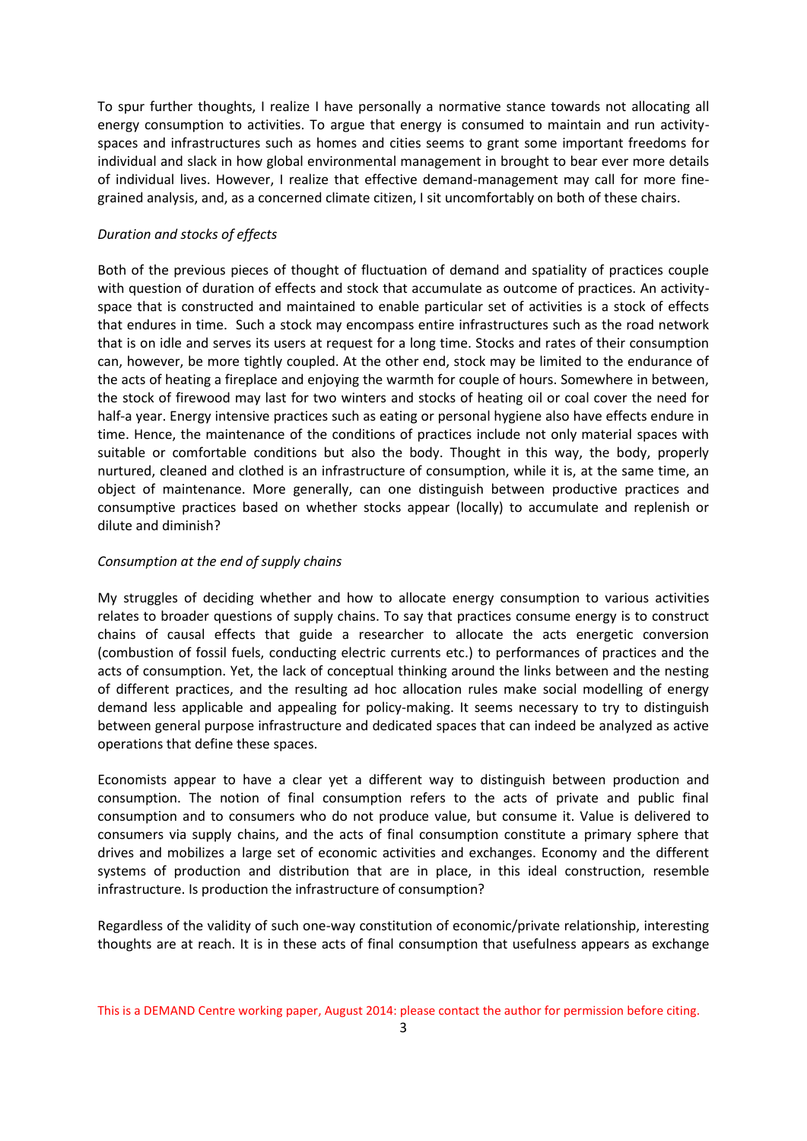To spur further thoughts, I realize I have personally a normative stance towards not allocating all energy consumption to activities. To argue that energy is consumed to maintain and run activityspaces and infrastructures such as homes and cities seems to grant some important freedoms for individual and slack in how global environmental management in brought to bear ever more details of individual lives. However, I realize that effective demand-management may call for more finegrained analysis, and, as a concerned climate citizen, I sit uncomfortably on both of these chairs.

### *Duration and stocks of effects*

Both of the previous pieces of thought of fluctuation of demand and spatiality of practices couple with question of duration of effects and stock that accumulate as outcome of practices. An activityspace that is constructed and maintained to enable particular set of activities is a stock of effects that endures in time. Such a stock may encompass entire infrastructures such as the road network that is on idle and serves its users at request for a long time. Stocks and rates of their consumption can, however, be more tightly coupled. At the other end, stock may be limited to the endurance of the acts of heating a fireplace and enjoying the warmth for couple of hours. Somewhere in between, the stock of firewood may last for two winters and stocks of heating oil or coal cover the need for half-a year. Energy intensive practices such as eating or personal hygiene also have effects endure in time. Hence, the maintenance of the conditions of practices include not only material spaces with suitable or comfortable conditions but also the body. Thought in this way, the body, properly nurtured, cleaned and clothed is an infrastructure of consumption, while it is, at the same time, an object of maintenance. More generally, can one distinguish between productive practices and consumptive practices based on whether stocks appear (locally) to accumulate and replenish or dilute and diminish?

#### *Consumption at the end of supply chains*

My struggles of deciding whether and how to allocate energy consumption to various activities relates to broader questions of supply chains. To say that practices consume energy is to construct chains of causal effects that guide a researcher to allocate the acts energetic conversion (combustion of fossil fuels, conducting electric currents etc.) to performances of practices and the acts of consumption. Yet, the lack of conceptual thinking around the links between and the nesting of different practices, and the resulting ad hoc allocation rules make social modelling of energy demand less applicable and appealing for policy-making. It seems necessary to try to distinguish between general purpose infrastructure and dedicated spaces that can indeed be analyzed as active operations that define these spaces.

Economists appear to have a clear yet a different way to distinguish between production and consumption. The notion of final consumption refers to the acts of private and public final consumption and to consumers who do not produce value, but consume it. Value is delivered to consumers via supply chains, and the acts of final consumption constitute a primary sphere that drives and mobilizes a large set of economic activities and exchanges. Economy and the different systems of production and distribution that are in place, in this ideal construction, resemble infrastructure. Is production the infrastructure of consumption?

Regardless of the validity of such one-way constitution of economic/private relationship, interesting thoughts are at reach. It is in these acts of final consumption that usefulness appears as exchange

This is a DEMAND Centre working paper, August 2014: please contact the author for permission before citing.